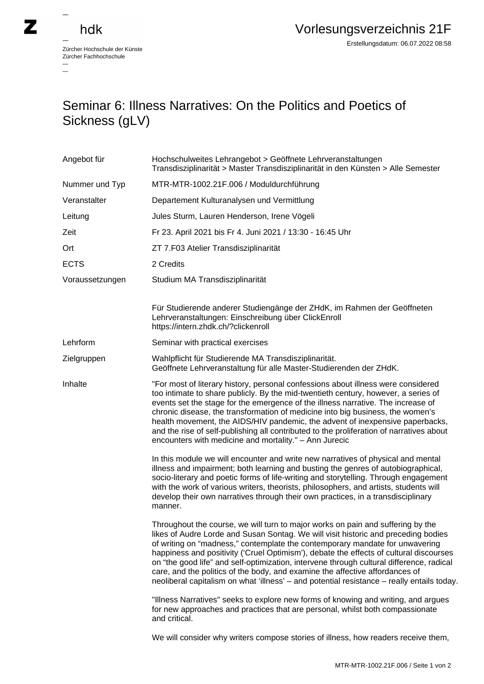## hdk

 $\overline{\phantom{0}}$ 

Zürcher Hochschule der Künste Zürcher Fachhochschule —

## Seminar 6: Illness Narratives: On the Politics and Poetics of Sickness (gLV)

| Angebot für     | Hochschulweites Lehrangebot > Geöffnete Lehrveranstaltungen<br>Transdisziplinarität > Master Transdisziplinarität in den Künsten > Alle Semester                                                                                                                                                                                                                                                                                                                                                                                                                                                                          |
|-----------------|---------------------------------------------------------------------------------------------------------------------------------------------------------------------------------------------------------------------------------------------------------------------------------------------------------------------------------------------------------------------------------------------------------------------------------------------------------------------------------------------------------------------------------------------------------------------------------------------------------------------------|
| Nummer und Typ  | MTR-MTR-1002.21F.006 / Moduldurchführung                                                                                                                                                                                                                                                                                                                                                                                                                                                                                                                                                                                  |
| Veranstalter    | Departement Kulturanalysen und Vermittlung                                                                                                                                                                                                                                                                                                                                                                                                                                                                                                                                                                                |
| Leitung         | Jules Sturm, Lauren Henderson, Irene Vögeli                                                                                                                                                                                                                                                                                                                                                                                                                                                                                                                                                                               |
| Zeit            | Fr 23. April 2021 bis Fr 4. Juni 2021 / 13:30 - 16:45 Uhr                                                                                                                                                                                                                                                                                                                                                                                                                                                                                                                                                                 |
| Ort             | ZT 7.F03 Atelier Transdisziplinarität                                                                                                                                                                                                                                                                                                                                                                                                                                                                                                                                                                                     |
| <b>ECTS</b>     | 2 Credits                                                                                                                                                                                                                                                                                                                                                                                                                                                                                                                                                                                                                 |
| Voraussetzungen | Studium MA Transdisziplinarität                                                                                                                                                                                                                                                                                                                                                                                                                                                                                                                                                                                           |
|                 | Für Studierende anderer Studiengänge der ZHdK, im Rahmen der Geöffneten<br>Lehrveranstaltungen: Einschreibung über ClickEnroll<br>https://intern.zhdk.ch/?clickenroll                                                                                                                                                                                                                                                                                                                                                                                                                                                     |
| Lehrform        | Seminar with practical exercises                                                                                                                                                                                                                                                                                                                                                                                                                                                                                                                                                                                          |
| Zielgruppen     | Wahlpflicht für Studierende MA Transdisziplinarität.<br>Geöffnete Lehrveranstaltung für alle Master-Studierenden der ZHdK.                                                                                                                                                                                                                                                                                                                                                                                                                                                                                                |
| Inhalte         | "For most of literary history, personal confessions about illness were considered<br>too intimate to share publicly. By the mid-twentieth century, however, a series of<br>events set the stage for the emergence of the illness narrative. The increase of<br>chronic disease, the transformation of medicine into big business, the women's<br>health movement, the AIDS/HIV pandemic, the advent of inexpensive paperbacks,<br>and the rise of self-publishing all contributed to the proliferation of narratives about<br>encounters with medicine and mortality." - Ann Jurecic                                      |
|                 | In this module we will encounter and write new narratives of physical and mental<br>illness and impairment; both learning and busting the genres of autobiographical,<br>socio-literary and poetic forms of life-writing and storytelling. Through engagement<br>with the work of various writers, theorists, philosophers, and artists, students will<br>develop their own narratives through their own practices, in a transdisciplinary<br>manner.                                                                                                                                                                     |
|                 | Throughout the course, we will turn to major works on pain and suffering by the<br>likes of Audre Lorde and Susan Sontag. We will visit historic and preceding bodies<br>of writing on "madness," contemplate the contemporary mandate for unwavering<br>happiness and positivity ('Cruel Optimism'), debate the effects of cultural discourses<br>on "the good life" and self-optimization, intervene through cultural difference, radical<br>care, and the politics of the body, and examine the affective affordances of<br>neoliberal capitalism on what 'illness' - and potential resistance - really entails today. |
|                 | "Illness Narratives" seeks to explore new forms of knowing and writing, and argues<br>for new approaches and practices that are personal, whilst both compassionate<br>and critical.                                                                                                                                                                                                                                                                                                                                                                                                                                      |
|                 | We will consider why writers compose stories of illness, how readers receive them,                                                                                                                                                                                                                                                                                                                                                                                                                                                                                                                                        |